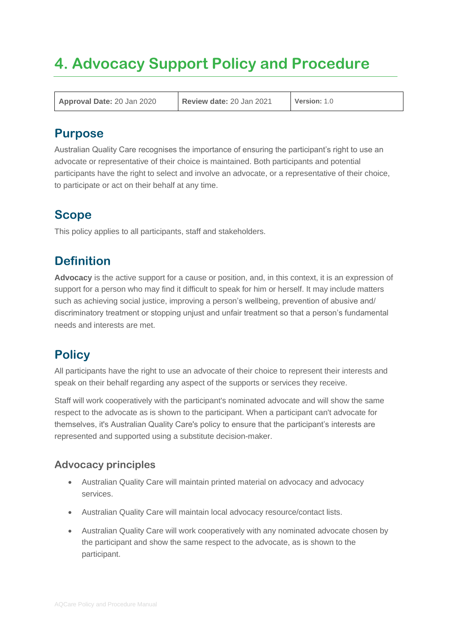# **4. Advocacy Support Policy and Procedure**

**Approval Date:** 20 Jan 2020 **Review date:** 20 Jan 2021 **Version:** 1.0

### **Purpose**

Australian Quality Care recognises the importance of ensuring the participant's right to use an advocate or representative of their choice is maintained. Both participants and potential participants have the right to select and involve an advocate, or a representative of their choice, to participate or act on their behalf at any time.

# **Scope**

This policy applies to all participants, staff and stakeholders.

# **Definition**

**Advocacy** is the active support for a cause or position, and, in this context, it is an expression of support for a person who may find it difficult to speak for him or herself. It may include matters such as achieving social justice, improving a person's wellbeing, prevention of abusive and/ discriminatory treatment or stopping unjust and unfair treatment so that a person's fundamental needs and interests are met.

# **Policy**

All participants have the right to use an advocate of their choice to represent their interests and speak on their behalf regarding any aspect of the supports or services they receive.

Staff will work cooperatively with the participant's nominated advocate and will show the same respect to the advocate as is shown to the participant. When a participant can't advocate for themselves, it's Australian Quality Care's policy to ensure that the participant's interests are represented and supported using a substitute decision-maker.

### **Advocacy principles**

- Australian Quality Care will maintain printed material on advocacy and advocacy services.
- Australian Quality Care will maintain local advocacy resource/contact lists.
- Australian Quality Care will work cooperatively with any nominated advocate chosen by the participant and show the same respect to the advocate, as is shown to the participant.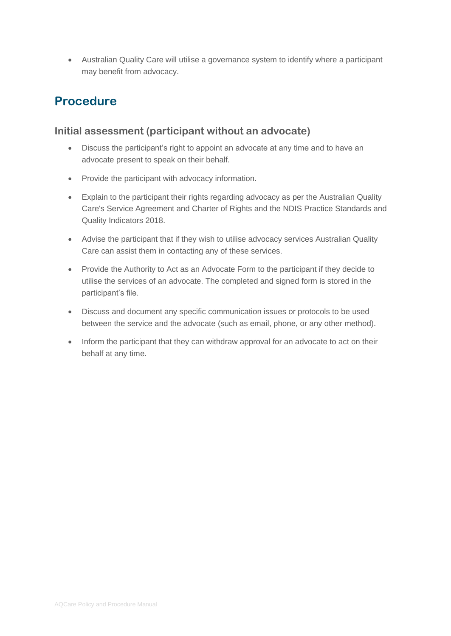• Australian Quality Care will utilise a governance system to identify where a participant may benefit from advocacy.

## **Procedure**

### **Initial assessment (participant without an advocate)**

- Discuss the participant's right to appoint an advocate at any time and to have an advocate present to speak on their behalf.
- Provide the participant with advocacy information.
- Explain to the participant their rights regarding advocacy as per the Australian Quality Care's Service Agreement and Charter of Rights and the NDIS Practice Standards and Quality Indicators 2018.
- Advise the participant that if they wish to utilise advocacy services Australian Quality Care can assist them in contacting any of these services.
- Provide the Authority to Act as an Advocate Form to the participant if they decide to utilise the services of an advocate. The completed and signed form is stored in the participant's file.
- Discuss and document any specific communication issues or protocols to be used between the service and the advocate (such as email, phone, or any other method).
- Inform the participant that they can withdraw approval for an advocate to act on their behalf at any time.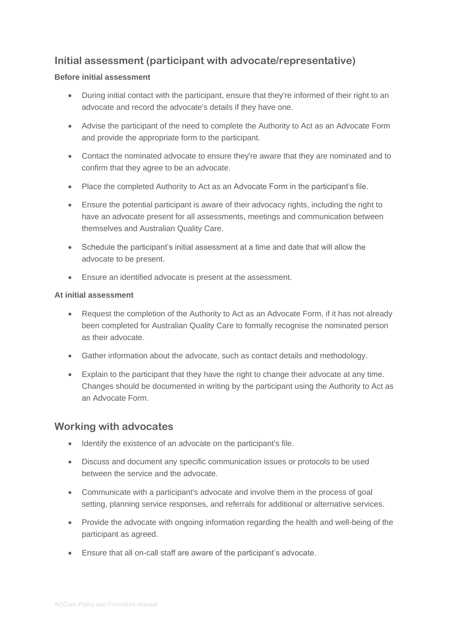### **Initial assessment (participant with advocate/representative)**

#### **Before initial assessment**

- During initial contact with the participant, ensure that they're informed of their right to an advocate and record the advocate's details if they have one.
- Advise the participant of the need to complete the Authority to Act as an Advocate Form and provide the appropriate form to the participant.
- Contact the nominated advocate to ensure they're aware that they are nominated and to confirm that they agree to be an advocate.
- Place the completed Authority to Act as an Advocate Form in the participant's file.
- Ensure the potential participant is aware of their advocacy rights, including the right to have an advocate present for all assessments, meetings and communication between themselves and Australian Quality Care.
- Schedule the participant's initial assessment at a time and date that will allow the advocate to be present.
- Ensure an identified advocate is present at the assessment.

#### **At initial assessment**

- Request the completion of the Authority to Act as an Advocate Form, if it has not already been completed for Australian Quality Care to formally recognise the nominated person as their advocate.
- Gather information about the advocate, such as contact details and methodology.
- Explain to the participant that they have the right to change their advocate at any time. Changes should be documented in writing by the participant using the Authority to Act as an Advocate Form.

### **Working with advocates**

- Identify the existence of an advocate on the participant's file.
- Discuss and document any specific communication issues or protocols to be used between the service and the advocate.
- Communicate with a participant's advocate and involve them in the process of goal setting, planning service responses, and referrals for additional or alternative services.
- Provide the advocate with ongoing information regarding the health and well-being of the participant as agreed.
- Ensure that all on-call staff are aware of the participant's advocate.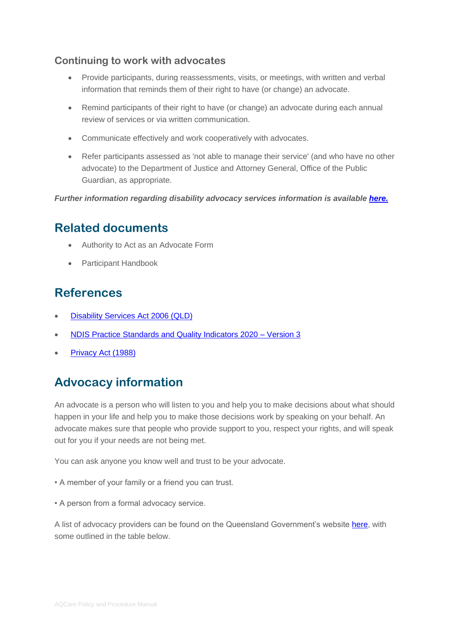### **Continuing to work with advocates**

- Provide participants, during reassessments, visits, or meetings, with written and verbal information that reminds them of their right to have (or change) an advocate.
- Remind participants of their right to have (or change) an advocate during each annual review of services or via written communication.
- Communicate effectively and work cooperatively with advocates.
- Refer participants assessed as 'not able to manage their service' (and who have no other advocate) to the Department of Justice and Attorney General, Office of the Public Guardian, as appropriate.

*Further information regarding disability advocacy services information is available [here.](https://www.qld.gov.au/disability/legal-and-rights/advocacy)*

### **Related documents**

- Authority to Act as an Advocate Form
- Participant Handbook

### **References**

- **[Disability Services Act 2006 \(QLD\)](https://www.legislation.qld.gov.au/view/pdf/2017-06-05/act-2006-012)**
- [NDIS Practice Standards and Quality Indicators 2020 –](https://www.ndiscommission.gov.au/sites/default/files/documents/2019-12/ndis-practice-standards-and-quality-indicators.pdf) Version 3
- [Privacy Act \(1988\)](https://www.legislation.gov.au/Details/C2020C00237)

# **Advocacy information**

An advocate is a person who will listen to you and help you to make decisions about what should happen in your life and help you to make those decisions work by speaking on your behalf. An advocate makes sure that people who provide support to you, respect your rights, and will speak out for you if your needs are not being met.

You can ask anyone you know well and trust to be your advocate.

- A member of your family or a friend you can trust.
- A person from a formal advocacy service.

A list of advocacy providers can be found on the Queensland Government's website [here,](https://disabilityadvocacyfinder.dss.gov.au/disability/ndap/) with some outlined in the table below.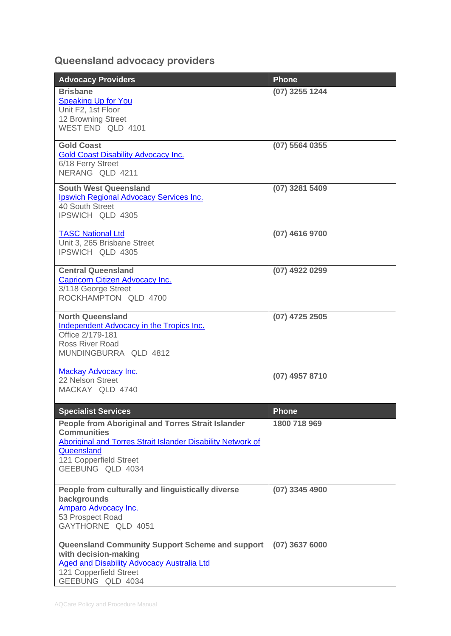## **Queensland advocacy providers**

| <b>Advocacy Providers</b>                                                                                                                                                                                 | <b>Phone</b>     |
|-----------------------------------------------------------------------------------------------------------------------------------------------------------------------------------------------------------|------------------|
| <b>Brisbane</b><br><b>Speaking Up for You</b><br>Unit F2, 1st Floor<br>12 Browning Street<br>WEST END QLD 4101                                                                                            | (07) 3255 1244   |
| <b>Gold Coast</b><br><b>Gold Coast Disability Advocacy Inc.</b><br>6/18 Ferry Street<br>NERANG QLD 4211                                                                                                   | $(07)$ 5564 0355 |
| <b>South West Queensland</b><br>Ipswich Regional Advocacy Services Inc.<br>40 South Street<br>IPSWICH QLD 4305                                                                                            | (07) 3281 5409   |
| <b>TASC National Ltd</b><br>Unit 3, 265 Brisbane Street<br>IPSWICH QLD 4305                                                                                                                               | (07) 4616 9700   |
| <b>Central Queensland</b><br><b>Capricorn Citizen Advocacy Inc.</b><br>3/118 George Street<br>ROCKHAMPTON QLD 4700                                                                                        | (07) 4922 0299   |
| <b>North Queensland</b><br>Independent Advocacy in the Tropics Inc.<br>Office 2/179-181<br><b>Ross River Road</b><br>MUNDINGBURRA QLD 4812                                                                | (07) 4725 2505   |
| Mackay Advocacy Inc.<br>22 Nelson Street<br>MACKAY QLD 4740                                                                                                                                               | (07) 4957 8710   |
| <b>Specialist Services</b>                                                                                                                                                                                | <b>Phone</b>     |
| <b>People from Aboriginal and Torres Strait Islander</b><br><b>Communities</b><br>Aboriginal and Torres Strait Islander Disability Network of<br>Queensland<br>121 Copperfield Street<br>GEEBUNG QLD 4034 | 1800 718 969     |
| People from culturally and linguistically diverse<br>backgrounds<br>Amparo Advocacy Inc.<br>53 Prospect Road<br>GAYTHORNE QLD 4051                                                                        | $(07)$ 3345 4900 |
| Queensland Community Support Scheme and support<br>with decision-making<br><b>Aged and Disability Advocacy Australia Ltd</b><br>121 Copperfield Street<br>GEEBUNG QLD 4034                                | $(07)$ 3637 6000 |